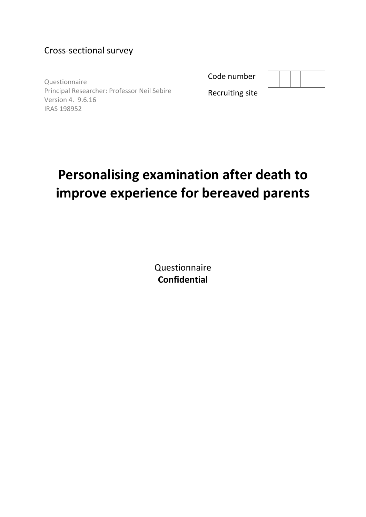# Cross-sectional survey

Questionnaire Principal Researcher: Professor Neil Sebire Version 4. 9.6.16 IRAS 198952

Code number



Recruiting site

# **Personalising examination after death to improve experience for bereaved parents**

Questionnaire **Confidential**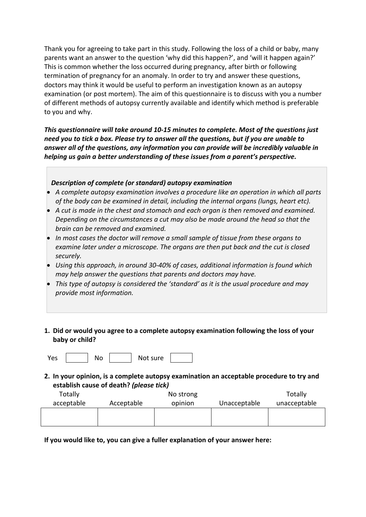Thank you for agreeing to take part in this study. Following the loss of a child or baby, many parents want an answer to the question 'why did this happen?', and 'will it happen again?' This is common whether the loss occurred during pregnancy, after birth or following termination of pregnancy for an anomaly. In order to try and answer these questions, doctors may think it would be useful to perform an investigation known as an autopsy examination (or post mortem). The aim of this questionnaire is to discuss with you a number of different methods of autopsy currently available and identify which method is preferable to you and why.

*This questionnaire will take around 10-15 minutes to complete. Most of the questions just need you to tick a box. Please try to answer all the questions, but if you are unable to answer all of the questions, any information you can provide will be incredibly valuable in helping us gain a better understanding of these issues from a parent's perspective.* 

#### *Description of complete (or standard) autopsy examination*

- *A complete autopsy examination involves a procedure like an operation in which all parts of the body can be examined in detail, including the internal organs (lungs, heart etc).*
- *A cut is made in the chest and stomach and each organ is then removed and examined. Depending on the circumstances a cut may also be made around the head so that the brain can be removed and examined.*
- *In most cases the doctor will remove a small sample of tissue from these organs to examine later under a microscope. The organs are then put back and the cut is closed securely.*
- *Using this approach, in around 30-40% of cases, additional information is found which may help answer the questions that parents and doctors may have.*
- *This type of autopsy is considered the 'standard' as it is the usual procedure and may provide most information.*
- **1. Did or would you agree to a complete autopsy examination following the loss of your baby or child?**

```
Yes | | No | | Not sure
```
**2. In your opinion, is a complete autopsy examination an acceptable procedure to try and establish cause of death?** *(please tick)*

| Totally    |            | No strong |              | Totally      |
|------------|------------|-----------|--------------|--------------|
| acceptable | Acceptable | opinion   | Unacceptable | unacceptable |
|            |            |           |              |              |
|            |            |           |              |              |

**If you would like to, you can give a fuller explanation of your answer here:**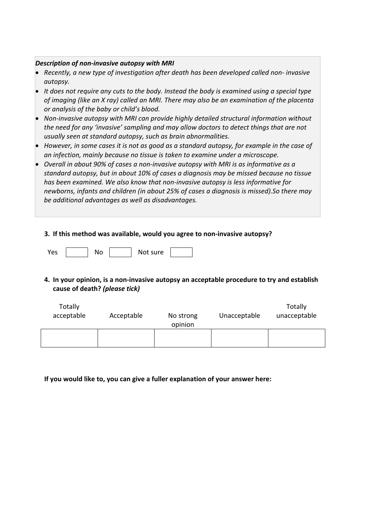#### *Description of non-invasive autopsy with MRI*

- *Recently, a new type of investigation after death has been developed called non- invasive autopsy.*
- *It does not require any cuts to the body. Instead the body is examined using a special type of imaging (like an X ray) called an MRI. There may also be an examination of the placenta or analysis of the baby or child's blood.*
- *Non-invasive autopsy with MRI can provide highly detailed structural information without the need for any 'invasive' sampling and may allow doctors to detect things that are not usually seen at standard autopsy, such as brain abnormalities.*
- *However, in some cases it is not as good as a standard autopsy, for example in the case of an infection, mainly because no tissue is taken to examine under a microscope.*
- *Overall in about 90% of cases a non-invasive autopsy with MRI is as informative as a standard autopsy, but in about 10% of cases a diagnosis may be missed because no tissue has been examined. We also know that non-invasive autopsy is less informative for newborns, infants and children (in about 25% of cases a diagnosis is missed).So there may be additional advantages as well as disadvantages.*

#### **3. If this method was available, would you agree to non-invasive autopsy?**

Yes | No | Not sure

# **4. In your opinion, is a non-invasive autopsy an acceptable procedure to try and establish cause of death?** *(please tick)*

| Totally<br>acceptable | Acceptable | No strong<br>opinion | Unacceptable | Totally<br>unacceptable |
|-----------------------|------------|----------------------|--------------|-------------------------|
|                       |            |                      |              |                         |

**If you would like to, you can give a fuller explanation of your answer here:**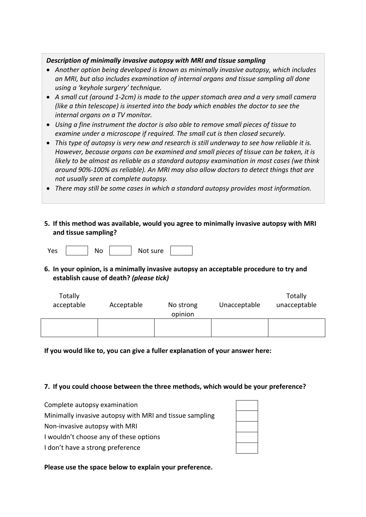#### *Description of minimally invasive autopsy with MRI and tissue sampling*

- *Another option being developed is known as minimally invasive autopsy, which includes an MRI, but also includes examination of internal organs and tissue sampling all done using a 'keyhole surgery' technique.*
- *A small cut (around 1-2cm) is made to the upper stomach area and a very small camera (like a thin telescope) is inserted into the body which enables the doctor to see the internal organs on a TV monitor.*
- *Using a fine instrument the doctor is also able to remove small pieces of tissue to examine under a microscope if required. The small cut is then closed securely.*
- *This type of autopsy is very new and research is still underway to see how reliable it is. However, because organs can be examined and small pieces of tissue can be taken, it is likely to be almost as reliable as a standard autopsy examination in most cases (we think around 90%-100% as reliable). An MRI may also allow doctors to detect things that are not usually seen at complete autopsy.*
- *There may still be some cases in which a standard autopsy provides most information.*
- **5. If this method was available, would you agree to minimally invasive autopsy with MRI and tissue sampling?**

Yes | No | Not sure

**6. In your opinion, is a minimally invasive autopsy an acceptable procedure to try and establish cause of death?** *(please tick)* 

| Totally<br>acceptable | Acceptable | No strong<br>opinion | Unacceptable | Totally<br>unacceptable |  |
|-----------------------|------------|----------------------|--------------|-------------------------|--|
|                       |            |                      |              |                         |  |

**If you would like to, you can give a fuller explanation of your answer here:**

#### **7. If you could choose between the three methods, which would be your preference?**

- Complete autopsy examination
- Minimally invasive autopsy with MRI and tissue sampling
- Non-invasive autopsy with MRI
- I wouldn't choose any of these options
- I don't have a strong preference

**Please use the space below to explain your preference.**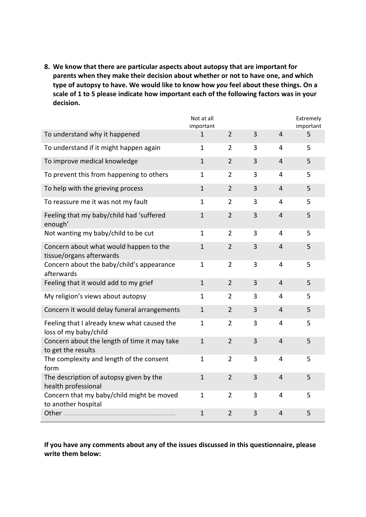**8. We know that there are particular aspects about autopsy that are important for parents when they make their decision about whether or not to have one, and which type of autopsy to have. We would like to know how** *you* **feel about these things. On a scale of 1 to 5 please indicate how important each of the following factors was in your decision.**

|                                                                      | Not at all<br>important |                |                         |                | Extremely<br>important |
|----------------------------------------------------------------------|-------------------------|----------------|-------------------------|----------------|------------------------|
| To understand why it happened                                        | $\mathbf{1}$            | $\overline{2}$ | 3                       | $\overline{4}$ | 5                      |
| To understand if it might happen again                               | $\mathbf{1}$            | $\overline{2}$ | 3                       | 4              | 5                      |
| To improve medical knowledge                                         | $\mathbf{1}$            | $\overline{2}$ | 3                       | $\overline{4}$ | 5                      |
| To prevent this from happening to others                             | $\mathbf{1}$            | $\overline{2}$ | 3                       | 4              | 5                      |
| To help with the grieving process                                    | $\mathbf{1}$            | $\overline{2}$ | 3                       | $\overline{4}$ | 5                      |
| To reassure me it was not my fault                                   | 1                       | $\overline{2}$ | 3                       | 4              | 5                      |
| Feeling that my baby/child had 'suffered<br>enough'                  | $\mathbf 1$             | $\overline{2}$ | $\overline{\mathbf{3}}$ | $\overline{4}$ | 5                      |
| Not wanting my baby/child to be cut                                  | $\mathbf{1}$            | $\overline{2}$ | 3                       | $\overline{4}$ | 5                      |
| Concern about what would happen to the<br>tissue/organs afterwards   | $\mathbf 1$             | $\overline{2}$ | 3                       | $\overline{4}$ | 5                      |
| Concern about the baby/child's appearance<br>afterwards              | $\mathbf{1}$            | $\overline{2}$ | 3                       | $\overline{4}$ | 5                      |
| Feeling that it would add to my grief                                | $1\,$                   | $\overline{2}$ | 3                       | $\overline{4}$ | 5                      |
| My religion's views about autopsy                                    | $\mathbf{1}$            | $\overline{2}$ | 3                       | 4              | 5                      |
| Concern it would delay funeral arrangements                          | $\mathbf 1$             | $\overline{2}$ | 3                       | $\overline{4}$ | 5                      |
| Feeling that I already knew what caused the<br>loss of my baby/child | $\mathbf{1}$            | $\overline{2}$ | 3                       | $\overline{4}$ | 5                      |
| Concern about the length of time it may take<br>to get the results   | $\mathbf 1$             | $\overline{2}$ | 3                       | $\overline{4}$ | 5                      |
| The complexity and length of the consent<br>form                     | $\mathbf{1}$            | $\overline{2}$ | 3                       | 4              | 5                      |
| The description of autopsy given by the<br>health professional       | $\mathbf{1}$            | $\overline{2}$ | 3                       | $\overline{4}$ | 5                      |
| Concern that my baby/child might be moved<br>to another hospital     | $\mathbf{1}$            | $\overline{2}$ | 3                       | $\overline{4}$ | 5                      |
|                                                                      | $1\,$                   | $\overline{2}$ | $\overline{3}$          | $\overline{4}$ | 5                      |

**If you have any comments about any of the issues discussed in this questionnaire, please write them below:**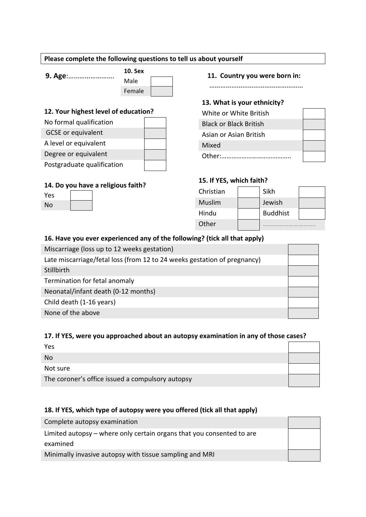#### **Please complete the following questions to tell us about yourself**

| 9. Age: |  |  |  |  |  |
|---------|--|--|--|--|--|
|         |  |  |  |  |  |

**10. Sex** Male Female

# **12. Your highest level of education?**

| No formal qualification    |  |
|----------------------------|--|
| <b>GCSE</b> or equivalent  |  |
| A level or equivalent      |  |
| Degree or equivalent       |  |
| Postgraduate qualification |  |

# **14. Do you have a religious faith?**

| Yes |  |
|-----|--|
| No  |  |

#### **9. Age: 11. Country you were born in:**

……………………………………………

# **13. What is your ethnicity?**

| White or White British        |  |
|-------------------------------|--|
| <b>Black or Black British</b> |  |
| Asian or Asian British        |  |
| Mixed                         |  |
| Other:                        |  |

# **15. If YES, which faith?**

| Christian | Sikh            |  |
|-----------|-----------------|--|
| Muslim    | Jewish          |  |
| Hindu     | <b>Buddhist</b> |  |
| Other     |                 |  |

# **16. Have you ever experienced any of the following? (tick all that apply)**

| Miscarriage (loss up to 12 weeks gestation)                              |  |
|--------------------------------------------------------------------------|--|
| Late miscarriage/fetal loss (from 12 to 24 weeks gestation of pregnancy) |  |
| Stillbirth                                                               |  |
| Termination for fetal anomaly                                            |  |
| Neonatal/infant death (0-12 months)                                      |  |
| Child death (1-16 years)                                                 |  |
| None of the above                                                        |  |

# **17. If YES, were you approached about an autopsy examination in any of those cases?**

| Yes                                              |  |
|--------------------------------------------------|--|
| <b>No</b>                                        |  |
| Not sure                                         |  |
| The coroner's office issued a compulsory autopsy |  |

# **18. If YES, which type of autopsy were you offered (tick all that apply)**

| Complete autopsy examination                                          |  |
|-----------------------------------------------------------------------|--|
| Limited autopsy – where only certain organs that you consented to are |  |
| examined                                                              |  |
| Minimally invasive autopsy with tissue sampling and MRI               |  |